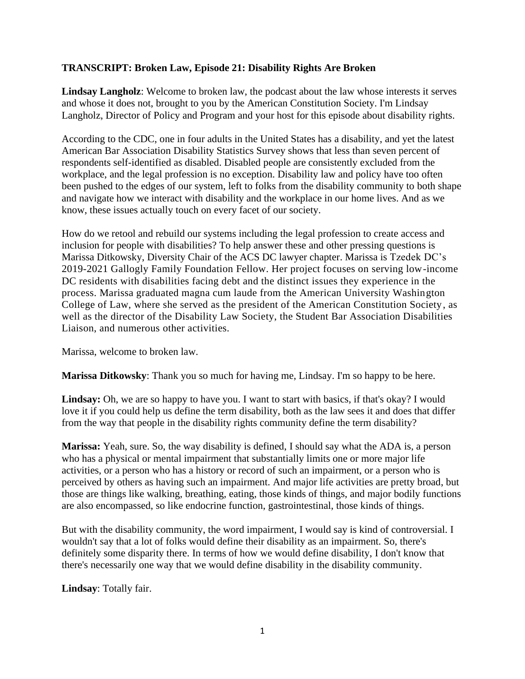## **TRANSCRIPT: Broken Law, Episode 21: Disability Rights Are Broken**

**Lindsay Langholz**: Welcome to broken law, the podcast about the law whose interests it serves and whose it does not, brought to you by the American Constitution Society. I'm Lindsay Langholz, Director of Policy and Program and your host for this episode about disability rights.

According to the CDC, one in four adults in the United States has a disability, and yet the latest American Bar Association Disability Statistics Survey shows that less than seven percent of respondents self-identified as disabled. Disabled people are consistently excluded from the workplace, and the legal profession is no exception. Disability law and policy have too often been pushed to the edges of our system, left to folks from the disability community to both shape and navigate how we interact with disability and the workplace in our home lives. And as we know, these issues actually touch on every facet of our society.

How do we retool and rebuild our systems including the legal profession to create access and inclusion for people with disabilities? To help answer these and other pressing questions is Marissa Ditkowsky, Diversity Chair of the ACS DC lawyer chapter. Marissa is Tzedek DC's 2019-2021 Gallogly Family Foundation Fellow. Her project focuses on serving low-income DC residents with disabilities facing debt and the distinct issues they experience in the process. Marissa graduated magna cum laude from the American University Washington College of Law, where she served as the president of the American Constitution Society, as well as the director of the Disability Law Society, the Student Bar Association Disabilities Liaison, and numerous other activities.

Marissa, welcome to broken law.

**Marissa Ditkowsky**: Thank you so much for having me, Lindsay. I'm so happy to be here.

Lindsay: Oh, we are so happy to have you. I want to start with basics, if that's okay? I would love it if you could help us define the term disability, both as the law sees it and does that differ from the way that people in the disability rights community define the term disability?

**Marissa:** Yeah, sure. So, the way disability is defined, I should say what the ADA is, a person who has a physical or mental impairment that substantially limits one or more major life activities, or a person who has a history or record of such an impairment, or a person who is perceived by others as having such an impairment. And major life activities are pretty broad, but those are things like walking, breathing, eating, those kinds of things, and major bodily functions are also encompassed, so like endocrine function, gastrointestinal, those kinds of things.

But with the disability community, the word impairment, I would say is kind of controversial. I wouldn't say that a lot of folks would define their disability as an impairment. So, there's definitely some disparity there. In terms of how we would define disability, I don't know that there's necessarily one way that we would define disability in the disability community.

**Lindsay**: Totally fair.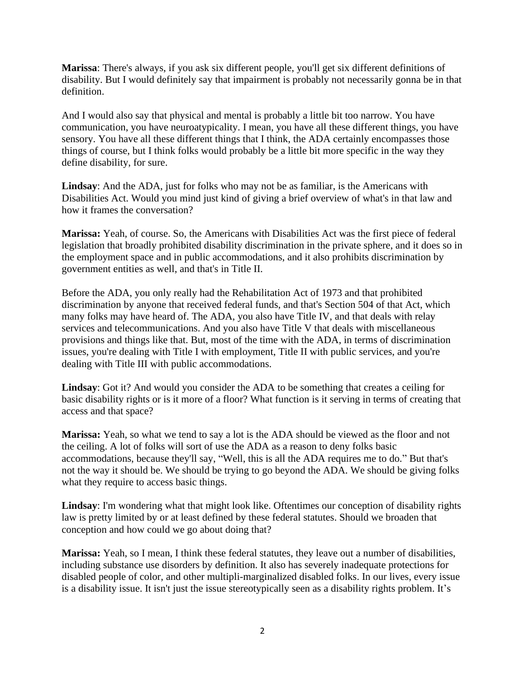**Marissa**: There's always, if you ask six different people, you'll get six different definitions of disability. But I would definitely say that impairment is probably not necessarily gonna be in that definition.

And I would also say that physical and mental is probably a little bit too narrow. You have communication, you have neuroatypicality. I mean, you have all these different things, you have sensory. You have all these different things that I think, the ADA certainly encompasses those things of course, but I think folks would probably be a little bit more specific in the way they define disability, for sure.

**Lindsay**: And the ADA, just for folks who may not be as familiar, is the Americans with Disabilities Act. Would you mind just kind of giving a brief overview of what's in that law and how it frames the conversation?

**Marissa:** Yeah, of course. So, the Americans with Disabilities Act was the first piece of federal legislation that broadly prohibited disability discrimination in the private sphere, and it does so in the employment space and in public accommodations, and it also prohibits discrimination by government entities as well, and that's in Title II.

Before the ADA, you only really had the Rehabilitation Act of 1973 and that prohibited discrimination by anyone that received federal funds, and that's Section 504 of that Act, which many folks may have heard of. The ADA, you also have Title IV, and that deals with relay services and telecommunications. And you also have Title V that deals with miscellaneous provisions and things like that. But, most of the time with the ADA, in terms of discrimination issues, you're dealing with Title I with employment, Title II with public services, and you're dealing with Title III with public accommodations.

**Lindsay**: Got it? And would you consider the ADA to be something that creates a ceiling for basic disability rights or is it more of a floor? What function is it serving in terms of creating that access and that space?

**Marissa:** Yeah, so what we tend to say a lot is the ADA should be viewed as the floor and not the ceiling. A lot of folks will sort of use the ADA as a reason to deny folks basic accommodations, because they'll say, "Well, this is all the ADA requires me to do." But that's not the way it should be. We should be trying to go beyond the ADA. We should be giving folks what they require to access basic things.

**Lindsay**: I'm wondering what that might look like. Oftentimes our conception of disability rights law is pretty limited by or at least defined by these federal statutes. Should we broaden that conception and how could we go about doing that?

**Marissa:** Yeah, so I mean, I think these federal statutes, they leave out a number of disabilities, including substance use disorders by definition. It also has severely inadequate protections for disabled people of color, and other multipli-marginalized disabled folks. In our lives, every issue is a disability issue. It isn't just the issue stereotypically seen as a disability rights problem. It's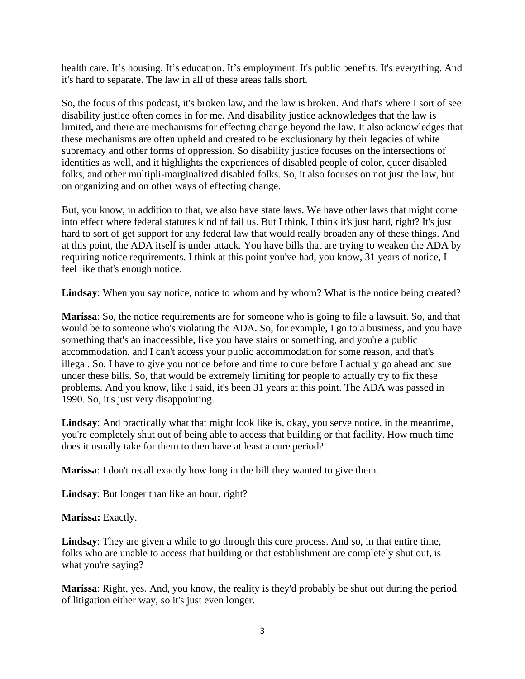health care. It's housing. It's education. It's employment. It's public benefits. It's everything. And it's hard to separate. The law in all of these areas falls short.

So, the focus of this podcast, it's broken law, and the law is broken. And that's where I sort of see disability justice often comes in for me. And disability justice acknowledges that the law is limited, and there are mechanisms for effecting change beyond the law. It also acknowledges that these mechanisms are often upheld and created to be exclusionary by their legacies of white supremacy and other forms of oppression. So disability justice focuses on the intersections of identities as well, and it highlights the experiences of disabled people of color, queer disabled folks, and other multipli-marginalized disabled folks. So, it also focuses on not just the law, but on organizing and on other ways of effecting change.

But, you know, in addition to that, we also have state laws. We have other laws that might come into effect where federal statutes kind of fail us. But I think, I think it's just hard, right? It's just hard to sort of get support for any federal law that would really broaden any of these things. And at this point, the ADA itself is under attack. You have bills that are trying to weaken the ADA by requiring notice requirements. I think at this point you've had, you know, 31 years of notice, I feel like that's enough notice.

**Lindsay**: When you say notice, notice to whom and by whom? What is the notice being created?

**Marissa**: So, the notice requirements are for someone who is going to file a lawsuit. So, and that would be to someone who's violating the ADA. So, for example, I go to a business, and you have something that's an inaccessible, like you have stairs or something, and you're a public accommodation, and I can't access your public accommodation for some reason, and that's illegal. So, I have to give you notice before and time to cure before I actually go ahead and sue under these bills. So, that would be extremely limiting for people to actually try to fix these problems. And you know, like I said, it's been 31 years at this point. The ADA was passed in 1990. So, it's just very disappointing.

**Lindsay**: And practically what that might look like is, okay, you serve notice, in the meantime, you're completely shut out of being able to access that building or that facility. How much time does it usually take for them to then have at least a cure period?

**Marissa**: I don't recall exactly how long in the bill they wanted to give them.

**Lindsay**: But longer than like an hour, right?

**Marissa:** Exactly.

**Lindsay**: They are given a while to go through this cure process. And so, in that entire time, folks who are unable to access that building or that establishment are completely shut out, is what you're saying?

**Marissa**: Right, yes. And, you know, the reality is they'd probably be shut out during the period of litigation either way, so it's just even longer.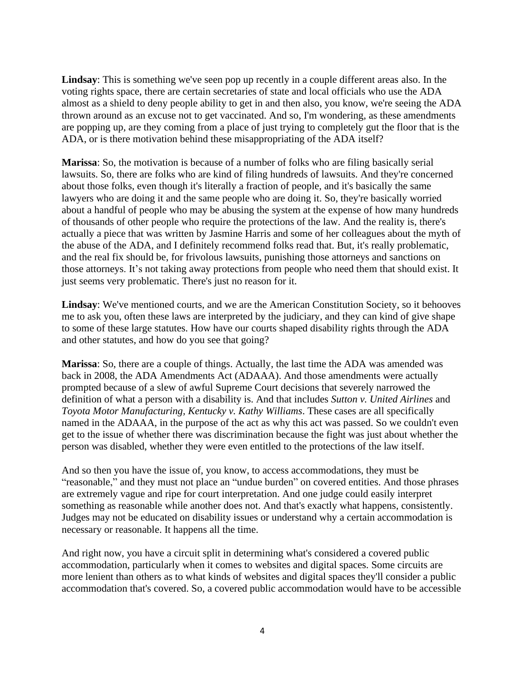**Lindsay**: This is something we've seen pop up recently in a couple different areas also. In the voting rights space, there are certain secretaries of state and local officials who use the ADA almost as a shield to deny people ability to get in and then also, you know, we're seeing the ADA thrown around as an excuse not to get vaccinated. And so, I'm wondering, as these amendments are popping up, are they coming from a place of just trying to completely gut the floor that is the ADA, or is there motivation behind these misappropriating of the ADA itself?

**Marissa**: So, the motivation is because of a number of folks who are filing basically serial lawsuits. So, there are folks who are kind of filing hundreds of lawsuits. And they're concerned about those folks, even though it's literally a fraction of people, and it's basically the same lawyers who are doing it and the same people who are doing it. So, they're basically worried about a handful of people who may be abusing the system at the expense of how many hundreds of thousands of other people who require the protections of the law. And the reality is, there's actually a piece that was written by Jasmine Harris and some of her colleagues about the myth of the abuse of the ADA, and I definitely recommend folks read that. But, it's really problematic, and the real fix should be, for frivolous lawsuits, punishing those attorneys and sanctions on those attorneys. It's not taking away protections from people who need them that should exist. It just seems very problematic. There's just no reason for it.

**Lindsay**: We've mentioned courts, and we are the American Constitution Society, so it behooves me to ask you, often these laws are interpreted by the judiciary, and they can kind of give shape to some of these large statutes. How have our courts shaped disability rights through the ADA and other statutes, and how do you see that going?

**Marissa**: So, there are a couple of things. Actually, the last time the ADA was amended was back in 2008, the ADA Amendments Act (ADAAA). And those amendments were actually prompted because of a slew of awful Supreme Court decisions that severely narrowed the definition of what a person with a disability is. And that includes *Sutton v. United Airlines* and *Toyota Motor Manufacturing, Kentucky v. Kathy Williams*. These cases are all specifically named in the ADAAA, in the purpose of the act as why this act was passed. So we couldn't even get to the issue of whether there was discrimination because the fight was just about whether the person was disabled, whether they were even entitled to the protections of the law itself.

And so then you have the issue of, you know, to access accommodations, they must be "reasonable," and they must not place an "undue burden" on covered entities. And those phrases are extremely vague and ripe for court interpretation. And one judge could easily interpret something as reasonable while another does not. And that's exactly what happens, consistently. Judges may not be educated on disability issues or understand why a certain accommodation is necessary or reasonable. It happens all the time.

And right now, you have a circuit split in determining what's considered a covered public accommodation, particularly when it comes to websites and digital spaces. Some circuits are more lenient than others as to what kinds of websites and digital spaces they'll consider a public accommodation that's covered. So, a covered public accommodation would have to be accessible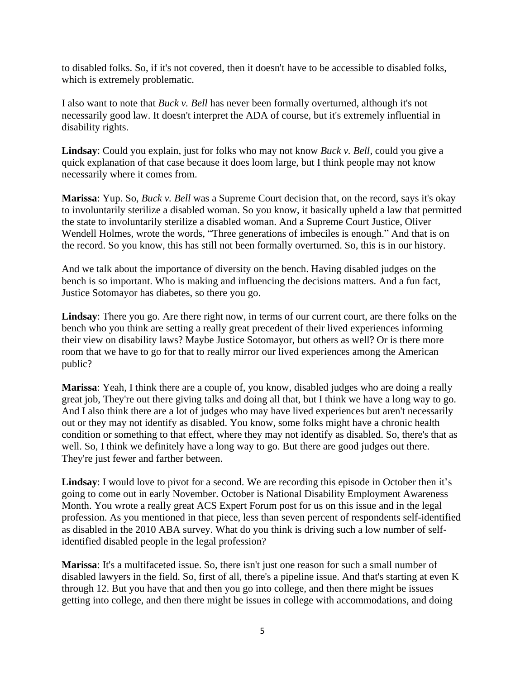to disabled folks. So, if it's not covered, then it doesn't have to be accessible to disabled folks, which is extremely problematic.

I also want to note that *Buck v. Bell* has never been formally overturned, although it's not necessarily good law. It doesn't interpret the ADA of course, but it's extremely influential in disability rights.

**Lindsay**: Could you explain, just for folks who may not know *Buck v. Bell*, could you give a quick explanation of that case because it does loom large, but I think people may not know necessarily where it comes from.

**Marissa**: Yup. So, *Buck v. Bell* was a Supreme Court decision that, on the record, says it's okay to involuntarily sterilize a disabled woman. So you know, it basically upheld a law that permitted the state to involuntarily sterilize a disabled woman. And a Supreme Court Justice, Oliver Wendell Holmes, wrote the words, "Three generations of imbeciles is enough." And that is on the record. So you know, this has still not been formally overturned. So, this is in our history.

And we talk about the importance of diversity on the bench. Having disabled judges on the bench is so important. Who is making and influencing the decisions matters. And a fun fact, Justice Sotomayor has diabetes, so there you go.

**Lindsay**: There you go. Are there right now, in terms of our current court, are there folks on the bench who you think are setting a really great precedent of their lived experiences informing their view on disability laws? Maybe Justice Sotomayor, but others as well? Or is there more room that we have to go for that to really mirror our lived experiences among the American public?

**Marissa**: Yeah, I think there are a couple of, you know, disabled judges who are doing a really great job, They're out there giving talks and doing all that, but I think we have a long way to go. And I also think there are a lot of judges who may have lived experiences but aren't necessarily out or they may not identify as disabled. You know, some folks might have a chronic health condition or something to that effect, where they may not identify as disabled. So, there's that as well. So, I think we definitely have a long way to go. But there are good judges out there. They're just fewer and farther between.

**Lindsay**: I would love to pivot for a second. We are recording this episode in October then it's going to come out in early November. October is National Disability Employment Awareness Month. You wrote a really great ACS Expert Forum post for us on this issue and in the legal profession. As you mentioned in that piece, less than seven percent of respondents self-identified as disabled in the 2010 ABA survey. What do you think is driving such a low number of selfidentified disabled people in the legal profession?

**Marissa**: It's a multifaceted issue. So, there isn't just one reason for such a small number of disabled lawyers in the field. So, first of all, there's a pipeline issue. And that's starting at even K through 12. But you have that and then you go into college, and then there might be issues getting into college, and then there might be issues in college with accommodations, and doing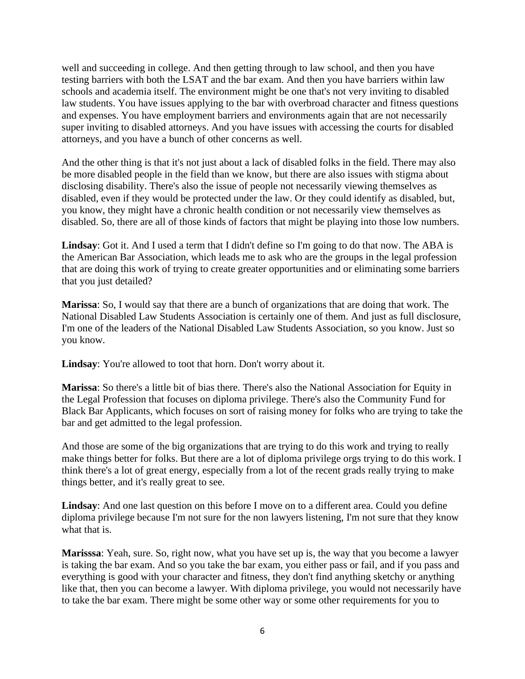well and succeeding in college. And then getting through to law school, and then you have testing barriers with both the LSAT and the bar exam. And then you have barriers within law schools and academia itself. The environment might be one that's not very inviting to disabled law students. You have issues applying to the bar with overbroad character and fitness questions and expenses. You have employment barriers and environments again that are not necessarily super inviting to disabled attorneys. And you have issues with accessing the courts for disabled attorneys, and you have a bunch of other concerns as well.

And the other thing is that it's not just about a lack of disabled folks in the field. There may also be more disabled people in the field than we know, but there are also issues with stigma about disclosing disability. There's also the issue of people not necessarily viewing themselves as disabled, even if they would be protected under the law. Or they could identify as disabled, but, you know, they might have a chronic health condition or not necessarily view themselves as disabled. So, there are all of those kinds of factors that might be playing into those low numbers.

**Lindsay**: Got it. And I used a term that I didn't define so I'm going to do that now. The ABA is the American Bar Association, which leads me to ask who are the groups in the legal profession that are doing this work of trying to create greater opportunities and or eliminating some barriers that you just detailed?

**Marissa**: So, I would say that there are a bunch of organizations that are doing that work. The National Disabled Law Students Association is certainly one of them. And just as full disclosure, I'm one of the leaders of the National Disabled Law Students Association, so you know. Just so you know.

Lindsay: You're allowed to toot that horn. Don't worry about it.

**Marissa**: So there's a little bit of bias there. There's also the National Association for Equity in the Legal Profession that focuses on diploma privilege. There's also the Community Fund for Black Bar Applicants, which focuses on sort of raising money for folks who are trying to take the bar and get admitted to the legal profession.

And those are some of the big organizations that are trying to do this work and trying to really make things better for folks. But there are a lot of diploma privilege orgs trying to do this work. I think there's a lot of great energy, especially from a lot of the recent grads really trying to make things better, and it's really great to see.

**Lindsay**: And one last question on this before I move on to a different area. Could you define diploma privilege because I'm not sure for the non lawyers listening, I'm not sure that they know what that is.

**Marisssa**: Yeah, sure. So, right now, what you have set up is, the way that you become a lawyer is taking the bar exam. And so you take the bar exam, you either pass or fail, and if you pass and everything is good with your character and fitness, they don't find anything sketchy or anything like that, then you can become a lawyer. With diploma privilege, you would not necessarily have to take the bar exam. There might be some other way or some other requirements for you to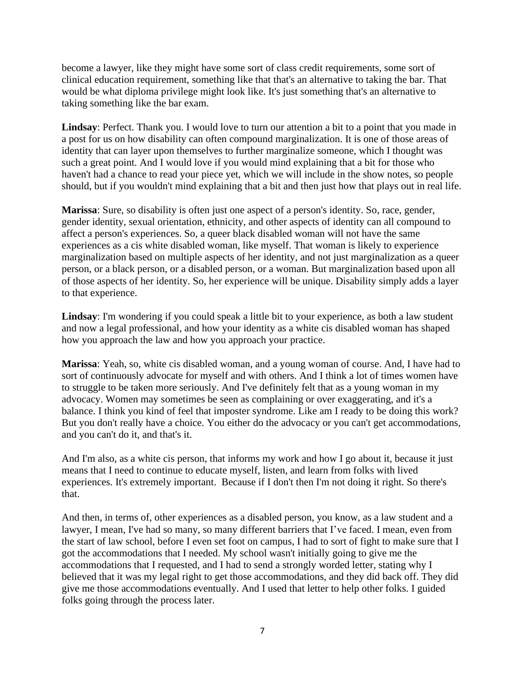become a lawyer, like they might have some sort of class credit requirements, some sort of clinical education requirement, something like that that's an alternative to taking the bar. That would be what diploma privilege might look like. It's just something that's an alternative to taking something like the bar exam.

**Lindsay**: Perfect. Thank you. I would love to turn our attention a bit to a point that you made in a post for us on how disability can often compound marginalization. It is one of those areas of identity that can layer upon themselves to further marginalize someone, which I thought was such a great point. And I would love if you would mind explaining that a bit for those who haven't had a chance to read your piece yet, which we will include in the show notes, so people should, but if you wouldn't mind explaining that a bit and then just how that plays out in real life.

**Marissa**: Sure, so disability is often just one aspect of a person's identity. So, race, gender, gender identity, sexual orientation, ethnicity, and other aspects of identity can all compound to affect a person's experiences. So, a queer black disabled woman will not have the same experiences as a cis white disabled woman, like myself. That woman is likely to experience marginalization based on multiple aspects of her identity, and not just marginalization as a queer person, or a black person, or a disabled person, or a woman. But marginalization based upon all of those aspects of her identity. So, her experience will be unique. Disability simply adds a layer to that experience.

**Lindsay**: I'm wondering if you could speak a little bit to your experience, as both a law student and now a legal professional, and how your identity as a white cis disabled woman has shaped how you approach the law and how you approach your practice.

**Marissa**: Yeah, so, white cis disabled woman, and a young woman of course. And, I have had to sort of continuously advocate for myself and with others. And I think a lot of times women have to struggle to be taken more seriously. And I've definitely felt that as a young woman in my advocacy. Women may sometimes be seen as complaining or over exaggerating, and it's a balance. I think you kind of feel that imposter syndrome. Like am I ready to be doing this work? But you don't really have a choice. You either do the advocacy or you can't get accommodations, and you can't do it, and that's it.

And I'm also, as a white cis person, that informs my work and how I go about it, because it just means that I need to continue to educate myself, listen, and learn from folks with lived experiences. It's extremely important. Because if I don't then I'm not doing it right. So there's that.

And then, in terms of, other experiences as a disabled person, you know, as a law student and a lawyer, I mean, I've had so many, so many different barriers that I've faced. I mean, even from the start of law school, before I even set foot on campus, I had to sort of fight to make sure that I got the accommodations that I needed. My school wasn't initially going to give me the accommodations that I requested, and I had to send a strongly worded letter, stating why I believed that it was my legal right to get those accommodations, and they did back off. They did give me those accommodations eventually. And I used that letter to help other folks. I guided folks going through the process later.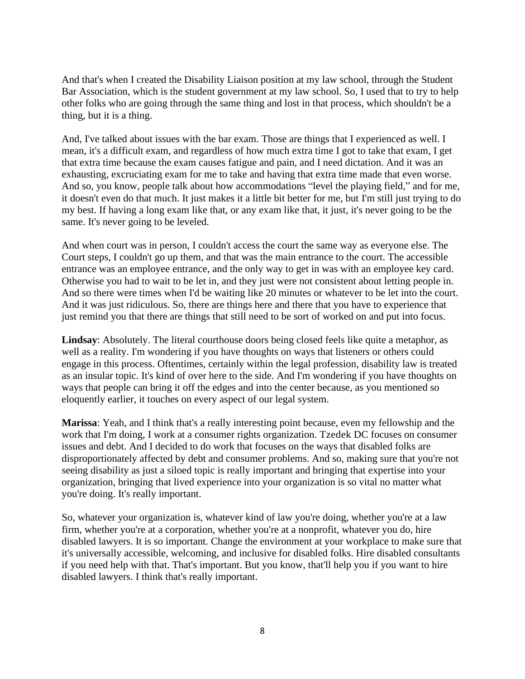And that's when I created the Disability Liaison position at my law school, through the Student Bar Association, which is the student government at my law school. So, I used that to try to help other folks who are going through the same thing and lost in that process, which shouldn't be a thing, but it is a thing.

And, I've talked about issues with the bar exam. Those are things that I experienced as well. I mean, it's a difficult exam, and regardless of how much extra time I got to take that exam, I get that extra time because the exam causes fatigue and pain, and I need dictation. And it was an exhausting, excruciating exam for me to take and having that extra time made that even worse. And so, you know, people talk about how accommodations "level the playing field," and for me, it doesn't even do that much. It just makes it a little bit better for me, but I'm still just trying to do my best. If having a long exam like that, or any exam like that, it just, it's never going to be the same. It's never going to be leveled.

And when court was in person, I couldn't access the court the same way as everyone else. The Court steps, I couldn't go up them, and that was the main entrance to the court. The accessible entrance was an employee entrance, and the only way to get in was with an employee key card. Otherwise you had to wait to be let in, and they just were not consistent about letting people in. And so there were times when I'd be waiting like 20 minutes or whatever to be let into the court. And it was just ridiculous. So, there are things here and there that you have to experience that just remind you that there are things that still need to be sort of worked on and put into focus.

**Lindsay**: Absolutely. The literal courthouse doors being closed feels like quite a metaphor, as well as a reality. I'm wondering if you have thoughts on ways that listeners or others could engage in this process. Oftentimes, certainly within the legal profession, disability law is treated as an insular topic. It's kind of over here to the side. And I'm wondering if you have thoughts on ways that people can bring it off the edges and into the center because, as you mentioned so eloquently earlier, it touches on every aspect of our legal system.

**Marissa**: Yeah, and I think that's a really interesting point because, even my fellowship and the work that I'm doing, I work at a consumer rights organization. Tzedek DC focuses on consumer issues and debt. And I decided to do work that focuses on the ways that disabled folks are disproportionately affected by debt and consumer problems. And so, making sure that you're not seeing disability as just a siloed topic is really important and bringing that expertise into your organization, bringing that lived experience into your organization is so vital no matter what you're doing. It's really important.

So, whatever your organization is, whatever kind of law you're doing, whether you're at a law firm, whether you're at a corporation, whether you're at a nonprofit, whatever you do, hire disabled lawyers. It is so important. Change the environment at your workplace to make sure that it's universally accessible, welcoming, and inclusive for disabled folks. Hire disabled consultants if you need help with that. That's important. But you know, that'll help you if you want to hire disabled lawyers. I think that's really important.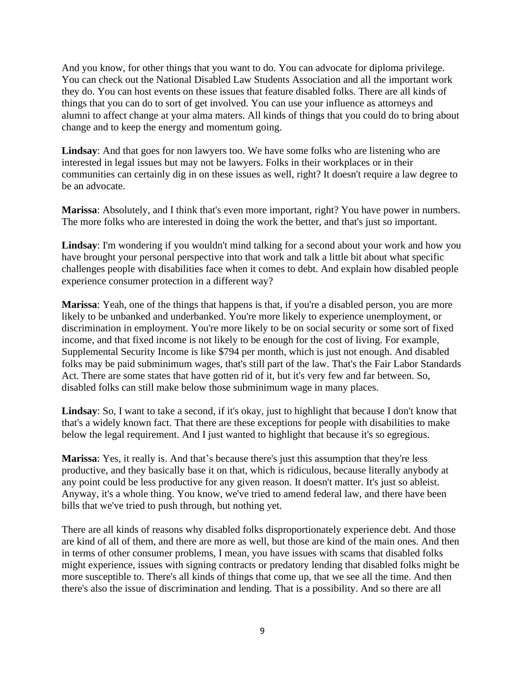And you know, for other things that you want to do. You can advocate for diploma privilege. You can check out the National Disabled Law Students Association and all the important work they do. You can host events on these issues that feature disabled folks. There are all kinds of things that you can do to sort of get involved. You can use your influence as attorneys and alumni to affect change at your alma maters. All kinds of things that you could do to bring about change and to keep the energy and momentum going.

**Lindsay**: And that goes for non lawyers too. We have some folks who are listening who are interested in legal issues but may not be lawyers. Folks in their workplaces or in their communities can certainly dig in on these issues as well, right? It doesn't require a law degree to be an advocate.

**Marissa**: Absolutely, and I think that's even more important, right? You have power in numbers. The more folks who are interested in doing the work the better, and that's just so important.

**Lindsay**: I'm wondering if you wouldn't mind talking for a second about your work and how you have brought your personal perspective into that work and talk a little bit about what specific challenges people with disabilities face when it comes to debt. And explain how disabled people experience consumer protection in a different way?

**Marissa**: Yeah, one of the things that happens is that, if you're a disabled person, you are more likely to be unbanked and underbanked. You're more likely to experience unemployment, or discrimination in employment. You're more likely to be on social security or some sort of fixed income, and that fixed income is not likely to be enough for the cost of living. For example, Supplemental Security Income is like \$794 per month, which is just not enough. And disabled folks may be paid subminimum wages, that's still part of the law. That's the Fair Labor Standards Act. There are some states that have gotten rid of it, but it's very few and far between. So, disabled folks can still make below those subminimum wage in many places.

**Lindsay**: So, I want to take a second, if it's okay, just to highlight that because I don't know that that's a widely known fact. That there are these exceptions for people with disabilities to make below the legal requirement. And I just wanted to highlight that because it's so egregious.

**Marissa**: Yes, it really is. And that's because there's just this assumption that they're less productive, and they basically base it on that, which is ridiculous, because literally anybody at any point could be less productive for any given reason. It doesn't matter. It's just so ableist. Anyway, it's a whole thing. You know, we've tried to amend federal law, and there have been bills that we've tried to push through, but nothing yet.

There are all kinds of reasons why disabled folks disproportionately experience debt. And those are kind of all of them, and there are more as well, but those are kind of the main ones. And then in terms of other consumer problems, I mean, you have issues with scams that disabled folks might experience, issues with signing contracts or predatory lending that disabled folks might be more susceptible to. There's all kinds of things that come up, that we see all the time. And then there's also the issue of discrimination and lending. That is a possibility. And so there are all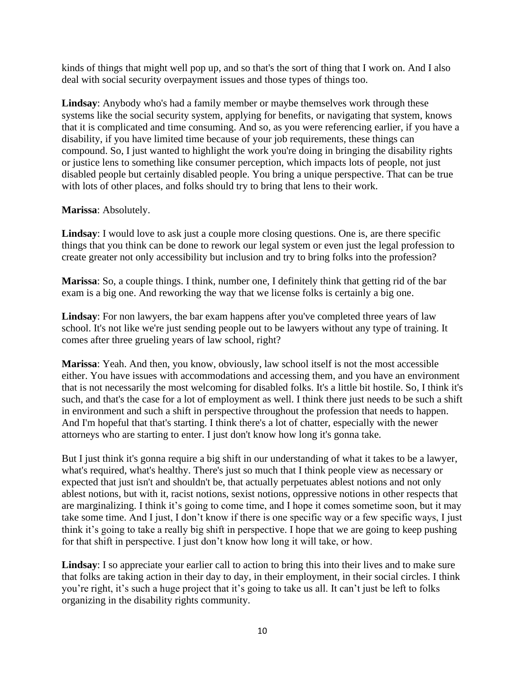kinds of things that might well pop up, and so that's the sort of thing that I work on. And I also deal with social security overpayment issues and those types of things too.

**Lindsay**: Anybody who's had a family member or maybe themselves work through these systems like the social security system, applying for benefits, or navigating that system, knows that it is complicated and time consuming. And so, as you were referencing earlier, if you have a disability, if you have limited time because of your job requirements, these things can compound. So, I just wanted to highlight the work you're doing in bringing the disability rights or justice lens to something like consumer perception, which impacts lots of people, not just disabled people but certainly disabled people. You bring a unique perspective. That can be true with lots of other places, and folks should try to bring that lens to their work.

## **Marissa**: Absolutely.

**Lindsay**: I would love to ask just a couple more closing questions. One is, are there specific things that you think can be done to rework our legal system or even just the legal profession to create greater not only accessibility but inclusion and try to bring folks into the profession?

**Marissa**: So, a couple things. I think, number one, I definitely think that getting rid of the bar exam is a big one. And reworking the way that we license folks is certainly a big one.

**Lindsay**: For non lawyers, the bar exam happens after you've completed three years of law school. It's not like we're just sending people out to be lawyers without any type of training. It comes after three grueling years of law school, right?

**Marissa**: Yeah. And then, you know, obviously, law school itself is not the most accessible either. You have issues with accommodations and accessing them, and you have an environment that is not necessarily the most welcoming for disabled folks. It's a little bit hostile. So, I think it's such, and that's the case for a lot of employment as well. I think there just needs to be such a shift in environment and such a shift in perspective throughout the profession that needs to happen. And I'm hopeful that that's starting. I think there's a lot of chatter, especially with the newer attorneys who are starting to enter. I just don't know how long it's gonna take.

But I just think it's gonna require a big shift in our understanding of what it takes to be a lawyer, what's required, what's healthy. There's just so much that I think people view as necessary or expected that just isn't and shouldn't be, that actually perpetuates ablest notions and not only ablest notions, but with it, racist notions, sexist notions, oppressive notions in other respects that are marginalizing. I think it's going to come time, and I hope it comes sometime soon, but it may take some time. And I just, I don't know if there is one specific way or a few specific ways, I just think it's going to take a really big shift in perspective. I hope that we are going to keep pushing for that shift in perspective. I just don't know how long it will take, or how.

**Lindsay**: I so appreciate your earlier call to action to bring this into their lives and to make sure that folks are taking action in their day to day, in their employment, in their social circles. I think you're right, it's such a huge project that it's going to take us all. It can't just be left to folks organizing in the disability rights community.